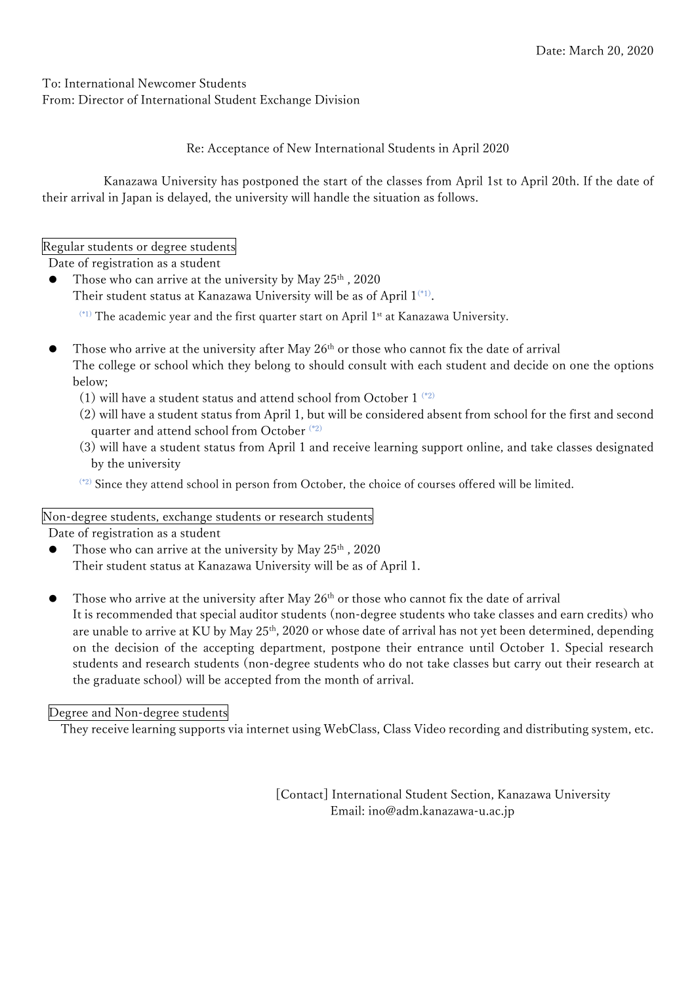To: International Newcomer Students From: Director of International Student Exchange Division

Re: Acceptance of New International Students in April 2020

Kanazawa University has postponed the start of the classes from April 1st to April 20th. If the date of their arrival in Japan is delayed, the university will handle the situation as follows.

Regular students or degree students

Date of registration as a student

Those who can arrive at the university by May  $25<sup>th</sup>$ ,  $2020$ Their student status at Kanazawa University will be as of April 1(\*1) .

 $(1)$ <sup>(\*1)</sup> The academic year and the first quarter start on April 1<sup>st</sup> at Kanazawa University.

- $\bullet$  Those who arrive at the university after May 26<sup>th</sup> or those who cannot fix the date of arrival The college or school which they belong to should consult with each student and decide on one the options below;
	- (1) will have a student status and attend school from October 1  $\,^{\textrm{\tiny{(*)}}}$
	- (2) will have a student status from April 1, but will be considered absent from school for the first and second quarter and attend school from October (\*2)
	- (3) will have a student status from April 1 and receive learning support online, and take classes designated by the university
	- (\*2) Since they attend school in person from October, the choice of courses offered will be limited.

Non-degree students, exchange students or research students

Date of registration as a student

- Those who can arrive at the university by May  $25<sup>th</sup>$ , 2020 Their student status at Kanazawa University will be as of April 1.
- $\bullet$  Those who arrive at the university after May 26<sup>th</sup> or those who cannot fix the date of arrival It is recommended that special auditor students (non-degree students who take classes and earn credits) who are unable to arrive at KU by May 25<sup>th</sup>, 2020 or whose date of arrival has not yet been determined, depending on the decision of the accepting department, postpone their entrance until October 1. Special research students and research students (non-degree students who do not take classes but carry out their research at the graduate school) will be accepted from the month of arrival.

# Degree and Non-degree students

They receive learning supports via internet using WebClass, Class Video recording and distributing system, etc.

[Contact] International Student Section, Kanazawa University Email: ino@adm.kanazawa-u.ac.jp